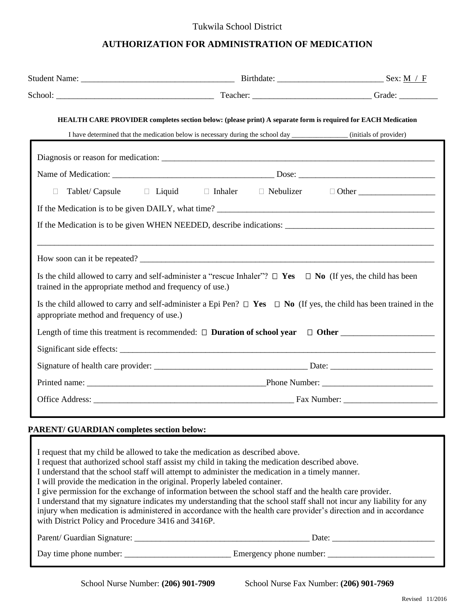#### Tukwila School District

#### **AUTHORIZATION FOR ADMINISTRATION OF MEDICATION**

|                                                          | <b>HEALTH CARE PROVIDER</b> completes section below: (please print) A separate form is required for EACH Medication                                                                                                                                                                   |              |
|----------------------------------------------------------|---------------------------------------------------------------------------------------------------------------------------------------------------------------------------------------------------------------------------------------------------------------------------------------|--------------|
|                                                          |                                                                                                                                                                                                                                                                                       |              |
|                                                          |                                                                                                                                                                                                                                                                                       |              |
|                                                          |                                                                                                                                                                                                                                                                                       |              |
| $\Box$                                                   | Tablet/ Capsule □ Liquid □ Inhaler □ Nebulizer                                                                                                                                                                                                                                        | $\Box$ Other |
|                                                          |                                                                                                                                                                                                                                                                                       |              |
|                                                          | How soon can it be repeated?                                                                                                                                                                                                                                                          |              |
| trained in the appropriate method and frequency of use.) | Is the child allowed to carry and self-administer a "rescue Inhaler"? $\Box$ Yes $\Box$ No (If yes, the child has been                                                                                                                                                                |              |
| appropriate method and frequency of use.)                | Is the child allowed to carry and self-administer a Epi Pen? $\Box$ Yes $\Box$ No (If yes, the child has been trained in the                                                                                                                                                          |              |
|                                                          |                                                                                                                                                                                                                                                                                       |              |
|                                                          |                                                                                                                                                                                                                                                                                       |              |
|                                                          |                                                                                                                                                                                                                                                                                       |              |
|                                                          |                                                                                                                                                                                                                                                                                       |              |
|                                                          |                                                                                                                                                                                                                                                                                       |              |
| <b>PARENT/ GUARDIAN completes section below:</b>         |                                                                                                                                                                                                                                                                                       |              |
|                                                          |                                                                                                                                                                                                                                                                                       |              |
|                                                          | I request that my child be allowed to take the medication as described above.<br>I request that authorized school staff assist my child in taking the medication described above.<br>I understand that the school staff will attempt to administer the medication in a timely manner. |              |

I will provide the medication in the original. Properly labeled container.

I give permission for the exchange of information between the school staff and the health care provider.

I understand that my signature indicates my understanding that the school staff shall not incur any liability for any injury when medication is administered in accordance with the health care provider's direction and in accordance with District Policy and Procedure 3416 and 3416P.

Parent/ Guardian Signature: \_\_\_\_\_\_\_\_\_\_\_\_\_\_\_\_\_\_\_\_\_\_\_\_\_\_\_\_\_\_\_\_\_\_\_\_\_\_\_\_\_ Date: \_\_\_\_\_\_\_\_\_\_\_\_\_\_\_\_\_\_\_\_\_\_\_\_

Day time phone number: \_\_\_\_\_\_\_\_\_\_\_\_\_\_\_\_\_\_\_\_\_\_\_\_\_ Emergency phone number: \_\_\_\_\_\_\_\_\_\_\_\_\_\_\_\_\_\_\_\_\_\_\_\_\_

School Nurse Number: **(206) 901-7909** School Nurse Fax Number: **(206) 901-7969**